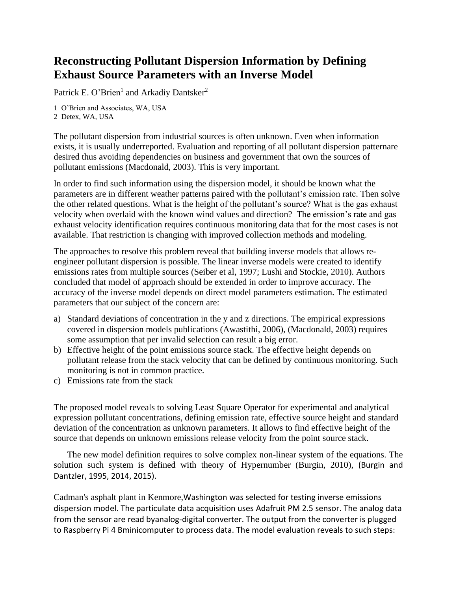## **Reconstructing Pollutant Dispersion Information by Defining Exhaust Source Parameters with an Inverse Model**

Patrick E. O'Brien<sup>1</sup> and Arkadiy Dantsker<sup>2</sup>

1 O'Brien and Associates, WA, USA 2 Detex, WA, USA

The pollutant dispersion from industrial sources is often unknown. Even when information exists, it is usually underreported. Evaluation and reporting of all pollutant dispersion patternare desired thus avoiding dependencies on business and government that own the sources of pollutant emissions (Macdonald, 2003). This is very important.

In order to find such information using the dispersion model, it should be known what the parameters are in different weather patterns paired with the pollutant's emission rate. Then solve the other related questions. What is the height of the pollutant's source? What is the gas exhaust velocity when overlaid with the known wind values and direction? The emission's rate and gas exhaust velocity identification requires continuous monitoring data that for the most cases is not available. That restriction is changing with improved collection methods and modeling.

The approaches to resolve this problem reveal that building inverse models that allows reengineer pollutant dispersion is possible. The linear inverse models were created to identify emissions rates from multiple sources (Seiber et al, 1997; Lushi and Stockie, 2010). Authors concluded that model of approach should be extended in order to improve accuracy. The accuracy of the inverse model depends on direct model parameters estimation. The estimated parameters that our subject of the concern are:

- a) Standard deviations of concentration in the y and z directions. The empirical expressions covered in dispersion models publications (Awastithi, 2006), (Macdonald, 2003) requires some assumption that per invalid selection can result a big error.
- b) Effective height of the point emissions source stack. The effective height depends on pollutant release from the stack velocity that can be defined by continuous monitoring. Such monitoring is not in common practice.
- c) Emissions rate from the stack

The proposed model reveals to solving Least Square Operator for experimental and analytical expression pollutant concentrations, defining emission rate, effective source height and standard deviation of the concentration as unknown parameters. It allows to find effective height of the source that depends on unknown emissions release velocity from the point source stack.

The new model definition requires to solve complex non-linear system of the equations. The solution such system is defined with theory of Hypernumber (Burgin, 2010), (Burgin and Dantzler, 1995, 2014, 2015).

Cadman's asphalt plant in Kenmore,Washington was selected for testing inverse emissions dispersion model. The particulate data acquisition uses Adafruit PM 2.5 sensor. The analog data from the sensor are read byanalog-digital converter. The output from the converter is plugged to Raspberry Pi 4 Bminicomputer to process data. The model evaluation reveals to such steps: